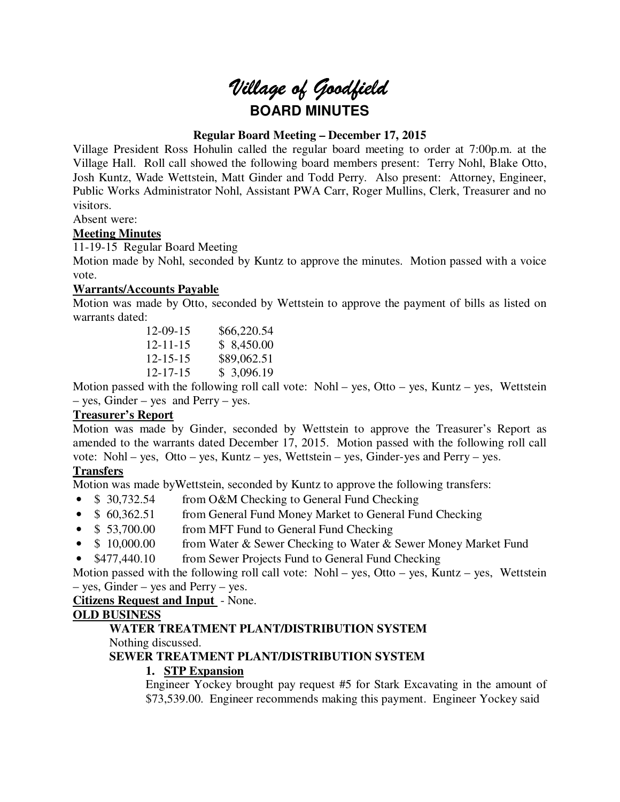# *Village of Goodfield* **BOARD MINUTES**

## **Regular Board Meeting – December 17, 2015**

Village President Ross Hohulin called the regular board meeting to order at 7:00p.m. at the Village Hall. Roll call showed the following board members present: Terry Nohl, Blake Otto, Josh Kuntz, Wade Wettstein, Matt Ginder and Todd Perry. Also present: Attorney, Engineer, Public Works Administrator Nohl, Assistant PWA Carr, Roger Mullins, Clerk, Treasurer and no visitors.

Absent were:

## **Meeting Minutes**

11-19-15 Regular Board Meeting

Motion made by Nohl, seconded by Kuntz to approve the minutes. Motion passed with a voice vote.

## **Warrants/Accounts Payable**

Motion was made by Otto, seconded by Wettstein to approve the payment of bills as listed on warrants dated:

| $12 - 09 - 15$ | \$66,220.54 |
|----------------|-------------|
| $12 - 11 - 15$ | \$8,450.00  |
| $12 - 15 - 15$ | \$89,062.51 |
| $12 - 17 - 15$ | \$3,096.19  |

Motion passed with the following roll call vote: Nohl – yes, Otto – yes, Kuntz – yes, Wettstein – yes, Ginder – yes and Perry – yes.

## **Treasurer's Report**

Motion was made by Ginder, seconded by Wettstein to approve the Treasurer's Report as amended to the warrants dated December 17, 2015. Motion passed with the following roll call vote: Nohl – yes, Otto – yes, Kuntz – yes, Wettstein – yes, Ginder-yes and Perry – yes.

## **Transfers**

Motion was made byWettstein, seconded by Kuntz to approve the following transfers:

- \$ 30,732.54 from O&M Checking to General Fund Checking
- \$ 60,362.51 from General Fund Money Market to General Fund Checking
- \$ 53,700.00 from MFT Fund to General Fund Checking
- \$ 10,000.00 from Water & Sewer Checking to Water & Sewer Money Market Fund
- \$477,440.10 from Sewer Projects Fund to General Fund Checking

Motion passed with the following roll call vote: Nohl – yes, Otto – yes, Kuntz – yes, Wettstein – yes, Ginder – yes and Perry – yes.

**Citizens Request and Input** - None.

## **OLD BUSINESS**

## **WATER TREATMENT PLANT/DISTRIBUTION SYSTEM**

Nothing discussed.

## **SEWER TREATMENT PLANT/DISTRIBUTION SYSTEM**

## **1. STP Expansion**

Engineer Yockey brought pay request #5 for Stark Excavating in the amount of \$73,539.00. Engineer recommends making this payment. Engineer Yockey said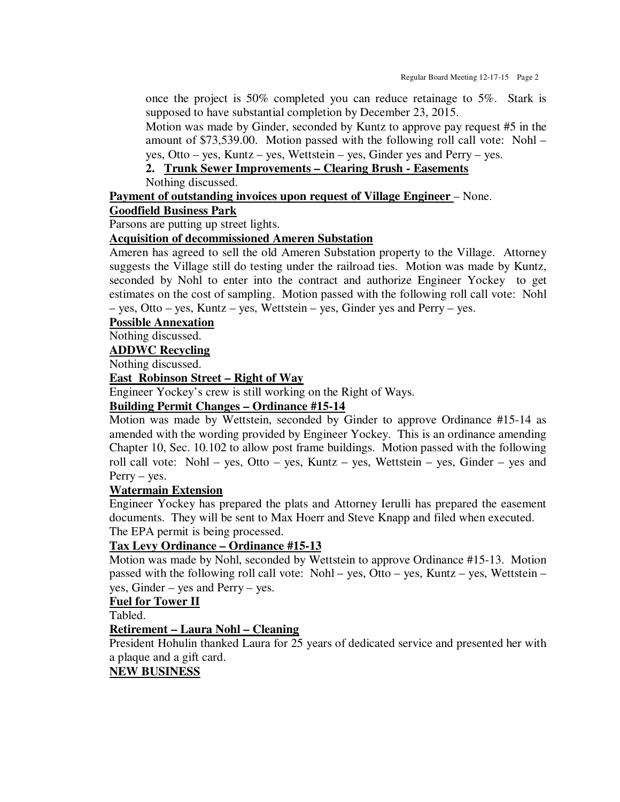once the project is 50% completed you can reduce retainage to 5%. Stark is supposed to have substantial completion by December 23, 2015.

Motion was made by Ginder, seconded by Kuntz to approve pay request #5 in the amount of \$73,539.00. Motion passed with the following roll call vote: Nohl – yes, Otto – yes, Kuntz – yes, Wettstein – yes, Ginder yes and Perry – yes.

**2. Trunk Sewer Improvements – Clearing Brush - Easements** 

Nothing discussed.

## **Payment of outstanding invoices upon request of Village Engineer** – None.

## **Goodfield Business Park**

Parsons are putting up street lights.

## **Acquisition of decommissioned Ameren Substation**

Ameren has agreed to sell the old Ameren Substation property to the Village. Attorney suggests the Village still do testing under the railroad ties. Motion was made by Kuntz, seconded by Nohl to enter into the contract and authorize Engineer Yockey to get estimates on the cost of sampling. Motion passed with the following roll call vote: Nohl – yes, Otto – yes, Kuntz – yes, Wettstein – yes, Ginder yes and Perry – yes.

#### **Possible Annexation**

Nothing discussed.

### **ADDWC Recycling**

Nothing discussed.

#### **East Robinson Street – Right of Way**

Engineer Yockey's crew is still working on the Right of Ways.

## **Building Permit Changes – Ordinance #15-14**

Motion was made by Wettstein, seconded by Ginder to approve Ordinance #15-14 as amended with the wording provided by Engineer Yockey. This is an ordinance amending Chapter 10, Sec. 10.102 to allow post frame buildings. Motion passed with the following roll call vote: Nohl – yes, Otto – yes, Kuntz – yes, Wettstein – yes, Ginder – yes and Perry – yes.

#### **Watermain Extension**

Engineer Yockey has prepared the plats and Attorney Ierulli has prepared the easement documents. They will be sent to Max Hoerr and Steve Knapp and filed when executed. The EPA permit is being processed.

## **Tax Levy Ordinance – Ordinance #15-13**

Motion was made by Nohl, seconded by Wettstein to approve Ordinance #15-13. Motion passed with the following roll call vote: Nohl – yes, Otto – yes, Kuntz – yes, Wettstein – yes, Ginder – yes and Perry – yes.

#### **Fuel for Tower II**

Tabled.

## **Retirement – Laura Nohl – Cleaning**

President Hohulin thanked Laura for 25 years of dedicated service and presented her with a plaque and a gift card.

## **NEW BUSINESS**